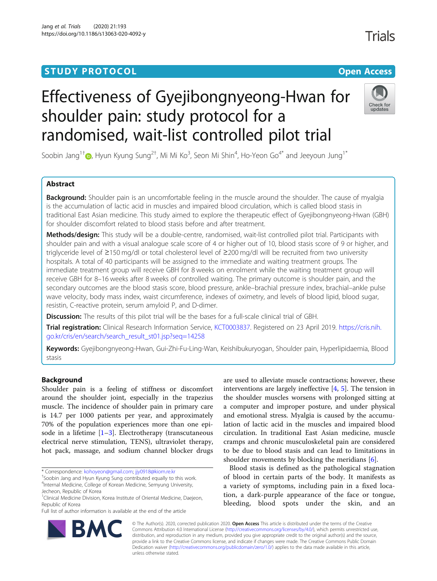# **STUDY PROTOCOL CONSUMING THE CONSUMING OPEN ACCESS**

# Effectiveness of Gyejibongnyeong-Hwan for shoulder pain: study protocol for a randomised, wait-list controlled pilot trial

Soobin Jang $^{1\dagger}$  (), Hyun Kyung Sung $^{2\dagger}$ , Mi Mi Ko $^3$ , Seon Mi Shin $^4$ , Ho-Yeon Go $^{4^\ast}$  and Jeeyoun Jung $^{1^\ast}$ 

# Abstract

**Background:** Shoulder pain is an uncomfortable feeling in the muscle around the shoulder. The cause of myalgia is the accumulation of lactic acid in muscles and impaired blood circulation, which is called blood stasis in traditional East Asian medicine. This study aimed to explore the therapeutic effect of Gyejibongnyeong-Hwan (GBH) for shoulder discomfort related to blood stasis before and after treatment.

Methods/design: This study will be a double-centre, randomised, wait-list controlled pilot trial. Participants with shoulder pain and with a visual analogue scale score of 4 or higher out of 10, blood stasis score of 9 or higher, and triglyceride level of ≥150 mg/dl or total cholesterol level of ≥200 mg/dl will be recruited from two university hospitals. A total of 40 participants will be assigned to the immediate and waiting treatment groups. The immediate treatment group will receive GBH for 8 weeks on enrolment while the waiting treatment group will receive GBH for 8–16 weeks after 8 weeks of controlled waiting. The primary outcome is shoulder pain, and the secondary outcomes are the blood stasis score, blood pressure, ankle–brachial pressure index, brachial–ankle pulse wave velocity, body mass index, waist circumference, indexes of oximetry, and levels of blood lipid, blood sugar, resistin, C-reactive protein, serum amyloid P, and D-dimer.

Discussion: The results of this pilot trial will be the bases for a full-scale clinical trial of GBH.

Trial registration: Clinical Research Information Service, [KCT0003837](https://cris.nih.go.kr/cris/en/search/search_result_st01.jsp?seq=14258). Registered on 23 April 2019. [https://cris.nih.](https://cris.nih.go.kr/cris/en/search/search_result_st01.jsp?seq=14258) [go.kr/cris/en/search/search\\_result\\_st01.jsp?seq=14258](https://cris.nih.go.kr/cris/en/search/search_result_st01.jsp?seq=14258)

Keywords: Gyejibongnyeong-Hwan, Gui-Zhi-Fu-Ling-Wan, Keishibukuryogan, Shoulder pain, Hyperlipidaemia, Blood stasis

# Background

Shoulder pain is a feeling of stiffness or discomfort around the shoulder joint, especially in the trapezius muscle. The incidence of shoulder pain in primary care is 14.7 per 1000 patients per year, and approximately 70% of the population experiences more than one episode in a lifetime  $[1-3]$  $[1-3]$  $[1-3]$ . Electrotherapy (transcutaneous electrical nerve stimulation, TENS), ultraviolet therapy, hot pack, massage, and sodium channel blocker drugs

\* Correspondence: [kohoyeon@gmail.com](mailto:kohoyeon@gmail.com); [jjy0918@kiom.re.kr](mailto:jjy0918@kiom.re.kr) †

Full list of author information is available at the end of the article

are used to alleviate muscle contractions; however, these interventions are largely ineffective [[4,](#page-6-0) [5\]](#page-6-0). The tension in the shoulder muscles worsens with prolonged sitting at a computer and improper posture, and under physical and emotional stress. Myalgia is caused by the accumulation of lactic acid in the muscles and impaired blood circulation. In traditional East Asian medicine, muscle cramps and chronic musculoskeletal pain are considered to be due to blood stasis and can lead to limitations in shoulder movements by blocking the meridians [\[6](#page-6-0)].

Blood stasis is defined as the pathological stagnation of blood in certain parts of the body. It manifests as a variety of symptoms, including pain in a fixed location, a dark-purple appearance of the face or tongue, bleeding, blood spots under the skin, and an

© The Author(s). 2020, corrected publication 2020. Open Access This article is distributed under the terms of the Creative Commons Attribution 4.0 International License ([http://creativecommons.org/licenses/by/4.0/\)](http://creativecommons.org/licenses/by/4.0/), which permits unrestricted use, distribution, and reproduction in any medium, provided you give appropriate credit to the original author(s) and the source, provide a link to the Creative Commons license, and indicate if changes were made. The Creative Commons Public Domain Dedication waiver [\(http://creativecommons.org/publicdomain/zero/1.0/](http://creativecommons.org/publicdomain/zero/1.0/)) applies to the data made available in this article, unless otherwise stated.





<sup>&</sup>lt;sup>+</sup>Soobin Jang and Hyun Kyung Sung contributed equally to this work.

<sup>4</sup> Internal Medicine, College of Korean Medicine, Semyung University, Jecheon, Republic of Korea

<sup>&</sup>lt;sup>1</sup>Clinical Medicine Division, Korea Institute of Oriental Medicine, Daejeon, Republic of Korea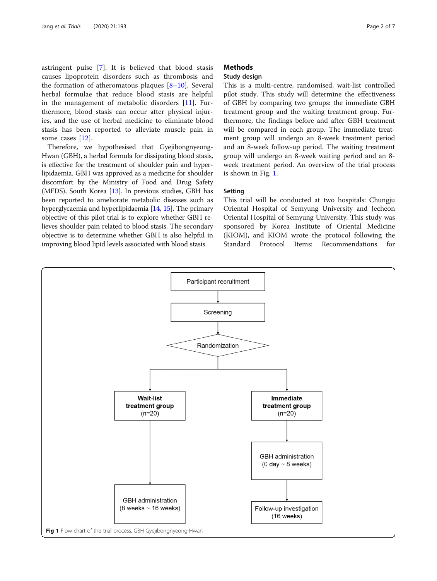astringent pulse [\[7](#page-6-0)]. It is believed that blood stasis causes lipoprotein disorders such as thrombosis and the formation of atheromatous plaques [[8](#page-6-0)–[10\]](#page-6-0). Several herbal formulae that reduce blood stasis are helpful in the management of metabolic disorders [\[11](#page-6-0)]. Furthermore, blood stasis can occur after physical injuries, and the use of herbal medicine to eliminate blood stasis has been reported to alleviate muscle pain in some cases [[12\]](#page-6-0).

Therefore, we hypothesised that Gyejibongnyeong-Hwan (GBH), a herbal formula for dissipating blood stasis, is effective for the treatment of shoulder pain and hyperlipidaemia. GBH was approved as a medicine for shoulder discomfort by the Ministry of Food and Drug Safety (MFDS), South Korea [\[13\]](#page-6-0). In previous studies, GBH has been reported to ameliorate metabolic diseases such as hyperglycaemia and hyperlipidaemia [\[14,](#page-6-0) [15](#page-6-0)]. The primary objective of this pilot trial is to explore whether GBH relieves shoulder pain related to blood stasis. The secondary objective is to determine whether GBH is also helpful in improving blood lipid levels associated with blood stasis.

# **Methods**

# Study design

This is a multi-centre, randomised, wait-list controlled pilot study. This study will determine the effectiveness of GBH by comparing two groups: the immediate GBH treatment group and the waiting treatment group. Furthermore, the findings before and after GBH treatment will be compared in each group. The immediate treatment group will undergo an 8-week treatment period and an 8-week follow-up period. The waiting treatment group will undergo an 8-week waiting period and an 8 week treatment period. An overview of the trial process is shown in Fig. 1.

# Setting

This trial will be conducted at two hospitals: Chungju Oriental Hospital of Semyung University and Jecheon Oriental Hospital of Semyung University. This study was sponsored by Korea Institute of Oriental Medicine (KIOM), and KIOM wrote the protocol following the Standard Protocol Items: Recommendations for

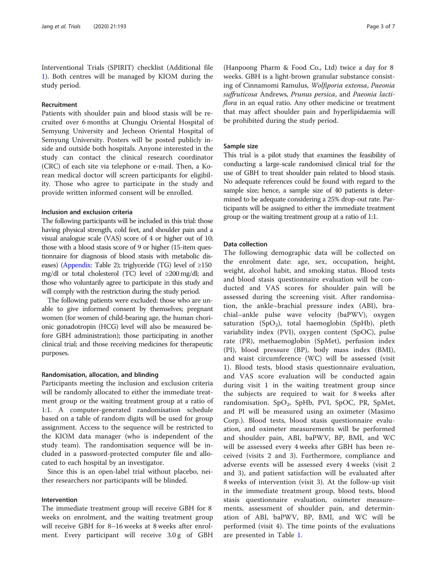Interventional Trials (SPIRIT) checklist (Additional file [1\)](#page-5-0). Both centres will be managed by KIOM during the study period.

# Recruitment

Patients with shoulder pain and blood stasis will be recruited over 6 months at Chungju Oriental Hospital of Semyung University and Jecheon Oriental Hospital of Semyung University. Posters will be posted publicly inside and outside both hospitals. Anyone interested in the study can contact the clinical research coordinator (CRC) of each site via telephone or e-mail. Then, a Korean medical doctor will screen participants for eligibility. Those who agree to participate in the study and provide written informed consent will be enrolled.

# Inclusion and exclusion criteria

The following participants will be included in this trial: those having physical strength, cold feet, and shoulder pain and a visual analogue scale (VAS) score of 4 or higher out of 10; those with a blood stasis score of 9 or higher (15-item questionnaire for diagnosis of blood stasis with metabolic dis-eases) ([Appendix:](#page-5-0) Table 2); triglyceride (TG) level of  $\geq 150$ mg/dl or total cholesterol (TC) level of ≥200 mg/dl; and those who voluntarily agree to participate in this study and will comply with the restriction during the study period.

The following patients were excluded: those who are unable to give informed consent by themselves; pregnant women (for women of child-bearing age, the human chorionic gonadotropin (HCG) level will also be measured before GBH administration); those participating in another clinical trial; and those receiving medicines for therapeutic purposes.

# Randomisation, allocation, and blinding

Participants meeting the inclusion and exclusion criteria will be randomly allocated to either the immediate treatment group or the waiting treatment group at a ratio of 1:1. A computer-generated randomisation schedule based on a table of random digits will be used for group assignment. Access to the sequence will be restricted to the KIOM data manager (who is independent of the study team). The randomisation sequence will be included in a password-protected computer file and allocated to each hospital by an investigator.

Since this is an open-label trial without placebo, neither researchers nor participants will be blinded.

# Intervention

The immediate treatment group will receive GBH for 8 weeks on enrolment, and the waiting treatment group will receive GBH for 8–16 weeks at 8 weeks after enrolment. Every participant will receive 3.0 g of GBH

(Hanpoong Pharm & Food Co., Ltd) twice a day for 8 weeks. GBH is a light-brown granular substance consisting of Cinnamomi Ramulus, Wolfiporia extensa, Paeonia suffruticosa Andrews, Prunus persica, and Paeonia lactiflora in an equal ratio. Any other medicine or treatment that may affect shoulder pain and hyperlipidaemia will be prohibited during the study period.

# Sample size

This trial is a pilot study that examines the feasibility of conducting a large-scale randomised clinical trial for the use of GBH to treat shoulder pain related to blood stasis. No adequate references could be found with regard to the sample size; hence, a sample size of 40 patients is determined to be adequate considering a 25% drop-out rate. Participants will be assigned to either the immediate treatment group or the waiting treatment group at a ratio of 1:1.

# Data collection

The following demographic data will be collected on the enrolment date: age, sex, occupation, height, weight, alcohol habit, and smoking status. Blood tests and blood stasis questionnaire evaluation will be conducted and VAS scores for shoulder pain will be assessed during the screening visit. After randomisation, the ankle–brachial pressure index (ABI), brachial–ankle pulse wave velocity (baPWV), oxygen saturation  $(SpO<sub>2</sub>)$ , total haemoglobin (SpHb), pleth variability index (PVI), oxygen content (SpOC), pulse rate (PR), methaemoglobin (SpMet), perfusion index (PI), blood pressure (BP), body mass index (BMI), and waist circumference (WC) will be assessed (visit 1). Blood tests, blood stasis questionnaire evaluation, and VAS score evaluation will be conducted again during visit 1 in the waiting treatment group since the subjects are required to wait for 8 weeks after randomisation. SpO<sub>2</sub>, SpHb, PVI, SpOC, PR, SpMet, and PI will be measured using an oximeter (Masimo Corp.). Blood tests, blood stasis questionnaire evaluation, and oximeter measurements will be performed and shoulder pain, ABI, baPWV, BP, BMI, and WC will be assessed every 4 weeks after GBH has been received (visits 2 and 3). Furthermore, compliance and adverse events will be assessed every 4 weeks (visit 2 and 3), and patient satisfaction will be evaluated after 8 weeks of intervention (visit 3). At the follow-up visit in the immediate treatment group, blood tests, blood stasis questionnaire evaluation, oximeter measurements, assessment of shoulder pain, and determination of ABI, baPWV, BP, BMI, and WC will be performed (visit 4). The time points of the evaluations are presented in Table [1](#page-3-0).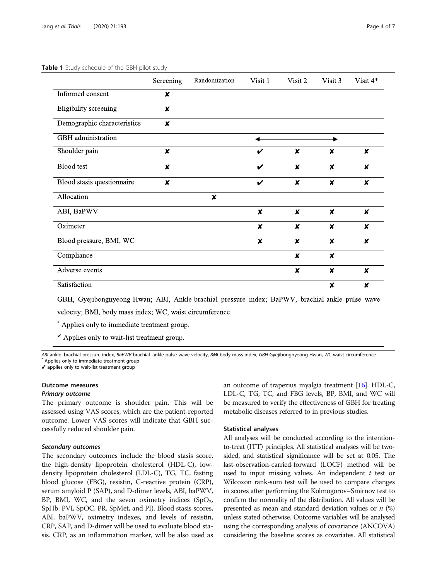|                             | Screening                 | Randomization    | Visit 1            | Visit 2                   | Visit 3                   | Visit 4*         |
|-----------------------------|---------------------------|------------------|--------------------|---------------------------|---------------------------|------------------|
| Informed consent            | $\boldsymbol{x}$          |                  |                    |                           |                           |                  |
| Eligibility screening       | $\boldsymbol{x}$          |                  |                    |                           |                           |                  |
| Demographic characteristics | $\boldsymbol{x}$          |                  |                    |                           |                           |                  |
| GBH administration          |                           |                  |                    |                           |                           |                  |
| Shoulder pain               | $\boldsymbol{x}$          |                  | V                  | $\boldsymbol{\mathsf{x}}$ | X                         | $\boldsymbol{x}$ |
| <b>Blood</b> test           | ×                         |                  | $\boldsymbol{\nu}$ | ×                         | X                         | $\boldsymbol{x}$ |
| Blood stasis questionnaire  | $\boldsymbol{\mathsf{x}}$ |                  | $\boldsymbol{\nu}$ | $\boldsymbol{\mathsf{x}}$ | $\pmb{\times}$            | $\boldsymbol{x}$ |
| Allocation                  |                           | $\boldsymbol{x}$ |                    |                           |                           |                  |
| ABI, BaPWV                  |                           |                  | $\boldsymbol{x}$   | $\boldsymbol{\mathsf{x}}$ | $\boldsymbol{\mathsf{x}}$ | $\boldsymbol{x}$ |
| Oximeter                    |                           |                  | $\boldsymbol{x}$   | $\boldsymbol{\mathsf{x}}$ | $\boldsymbol{\mathsf{x}}$ | $\boldsymbol{x}$ |
| Blood pressure, BMI, WC     |                           |                  | $\boldsymbol{x}$   | $\boldsymbol{x}$          | $\boldsymbol{x}$          | $\boldsymbol{x}$ |
| Compliance                  |                           |                  |                    | $\boldsymbol{\mathsf{x}}$ | $\boldsymbol{\mathsf{x}}$ |                  |
| Adverse events              |                           |                  |                    | $\boldsymbol{x}$          | $\boldsymbol{\mathsf{x}}$ | $\boldsymbol{x}$ |
| Satisfaction                |                           |                  |                    |                           | $\boldsymbol{x}$          | X                |

# <span id="page-3-0"></span>Table 1 Study schedule of the GBH pilot study

GBH, Gyejibongnyeong-Hwan; ABI, Ankle-brachial pressure index; BaPWV, brachial-ankle pulse wave velocity; BMI, body mass index; WC, waist circumference.

\* Applies only to immediate treatment group.

Applies only to wait-list treatment group.

ABI ankle–brachial pressure index, BaPWV brachial–ankle pulse wave velocity, BMI body mass index, GBH Gyejibongnyeong-Hwan, WC waist circumference \* Applies only to immediate treatment group

✔ applies only to wait-list treatment group

# Outcome measures

# Primary outcome

The primary outcome is shoulder pain. This will be assessed using VAS scores, which are the patient-reported outcome. Lower VAS scores will indicate that GBH successfully reduced shoulder pain.

#### Secondary outcomes

The secondary outcomes include the blood stasis score, the high-density lipoprotein cholesterol (HDL-C), lowdensity lipoprotein cholesterol (LDL-C), TG, TC, fasting blood glucose (FBG), resistin, C-reactive protein (CRP), serum amyloid P (SAP), and D-dimer levels, ABI, baPWV, BP, BMI, WC, and the seven oximetry indices  $(SpO<sub>2</sub>,$ SpHb, PVI, SpOC, PR, SpMet, and PI). Blood stasis scores, ABI, baPWV, oximetry indexes, and levels of resistin, CRP, SAP, and D-dimer will be used to evaluate blood stasis. CRP, as an inflammation marker, will be also used as an outcome of trapezius myalgia treatment [\[16\]](#page-6-0). HDL-C, LDL-C, TG, TC, and FBG levels, BP, BMI, and WC will be measured to verify the effectiveness of GBH for treating metabolic diseases referred to in previous studies.

# Statistical analyses

All analyses will be conducted according to the intentionto-treat (ITT) principles. All statistical analyses will be twosided, and statistical significance will be set at 0.05. The last-observation-carried-forward (LOCF) method will be used to input missing values. An independent  $t$  test or Wilcoxon rank-sum test will be used to compare changes in scores after performing the Kolmogorov–Smirnov test to confirm the normality of the distribution. All values will be presented as mean and standard deviation values or  $n$  (%) unless stated otherwise. Outcome variables will be analysed using the corresponding analysis of covariance (ANCOVA) considering the baseline scores as covariates. All statistical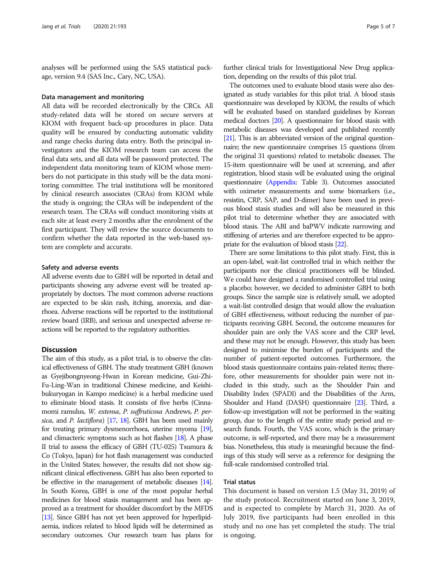analyses will be performed using the SAS statistical package, version 9.4 (SAS Inc., Cary, NC, USA).

#### Data management and monitoring

All data will be recorded electronically by the CRCs. All study-related data will be stored on secure servers at KIOM with frequent back-up procedures in place. Data quality will be ensured by conducting automatic validity and range checks during data entry. Both the principal investigators and the KIOM research team can access the final data sets, and all data will be password protected. The independent data monitoring team of KIOM whose members do not participate in this study will be the data monitoring committee. The trial institutions will be monitored by clinical research associates (CRAs) from KIOM while the study is ongoing; the CRAs will be independent of the research team. The CRAs will conduct monitoring visits at each site at least every 2 months after the enrolment of the first participant. They will review the source documents to confirm whether the data reported in the web-based system are complete and accurate.

# Safety and adverse events

All adverse events due to GBH will be reported in detail and participants showing any adverse event will be treated appropriately by doctors. The most common adverse reactions are expected to be skin rash, itching, anorexia, and diarrhoea. Adverse reactions will be reported to the institutional review board (IRB), and serious and unexpected adverse reactions will be reported to the regulatory authorities.

# **Discussion**

The aim of this study, as a pilot trial, is to observe the clinical effectiveness of GBH. The study treatment GBH (known as Gyejibongnyeong-Hwan in Korean medicine, Gui-Zhi-Fu-Ling-Wan in traditional Chinese medicine, and Keishibukuryogan in Kampo medicine) is a herbal medicine used to eliminate blood stasis. It consists of five herbs (Cinnamomi ramulus, W. extensa, P. suffruticosa Andrews, P. per-sica, and P. lactiflora) [\[17](#page-6-0), [18\]](#page-6-0). GBH has been used mainly for treating primary dysmenorrhoea, uterine myoma [\[19](#page-6-0)], and climacteric symptoms such as hot flashes [\[18\]](#page-6-0). A phase II trial to assess the efficacy of GBH (TU-025) Tsumura & Co (Tokyo, Japan) for hot flash management was conducted in the United States; however, the results did not show significant clinical effectiveness. GBH has also been reported to be effective in the management of metabolic diseases [\[14\]](#page-6-0). In South Korea, GBH is one of the most popular herbal medicines for blood stasis management and has been approved as a treatment for shoulder discomfort by the MFDS [[13\]](#page-6-0). Since GBH has not yet been approved for hyperlipidaemia, indices related to blood lipids will be determined as secondary outcomes. Our research team has plans for further clinical trials for Investigational New Drug application, depending on the results of this pilot trial.

The outcomes used to evaluate blood stasis were also designated as study variables for this pilot trial. A blood stasis questionnaire was developed by KIOM, the results of which will be evaluated based on standard guidelines by Korean medical doctors [[20\]](#page-6-0). A questionnaire for blood stasis with metabolic diseases was developed and published recently [[21\]](#page-6-0). This is an abbreviated version of the original questionnaire; the new questionnaire comprises 15 questions (from the original 31 questions) related to metabolic diseases. The 15-item questionnaire will be used at screening, and after registration, blood stasis will be evaluated using the original questionnaire ([Appendix](#page-5-0): Table 3). Outcomes associated with oximeter measurements and some biomarkers (i.e., resistin, CRP, SAP, and D-dimer) have been used in previous blood stasis studies and will also be measured in this pilot trial to determine whether they are associated with blood stasis. The ABI and baPWV indicate narrowing and stiffening of arteries and are therefore expected to be appropriate for the evaluation of blood stasis [[22](#page-6-0)].

There are some limitations to this pilot study. First, this is an open-label, wait-list controlled trial in which neither the participants nor the clinical practitioners will be blinded. We could have designed a randomised controlled trial using a placebo; however, we decided to administer GBH to both groups. Since the sample size is relatively small, we adopted a wait-list controlled design that would allow the evaluation of GBH effectiveness, without reducing the number of participants receiving GBH. Second, the outcome measures for shoulder pain are only the VAS score and the CRP level, and these may not be enough. However, this study has been designed to minimise the burden of participants and the number of patient-reported outcomes. Furthermore, the blood stasis questionnaire contains pain-related items; therefore, other measurements for shoulder pain were not included in this study, such as the Shoulder Pain and Disability Index (SPADI) and the Disabilities of the Arm, Shoulder and Hand (DASH) questionnaire [\[23\]](#page-6-0). Third, a follow-up investigation will not be performed in the waiting group, due to the length of the entire study period and research funds. Fourth, the VAS score, which is the primary outcome, is self-reported, and there may be a measurement bias. Nonetheless, this study is meaningful because the findings of this study will serve as a reference for designing the full-scale randomised controlled trial.

# Trial status

This document is based on version 1.5 (May 31, 2019) of the study protocol. Recruitment started on June 3, 2019, and is expected to complete by March 31, 2020. As of July 2019, five participants had been enrolled in this study and no one has yet completed the study. The trial is ongoing.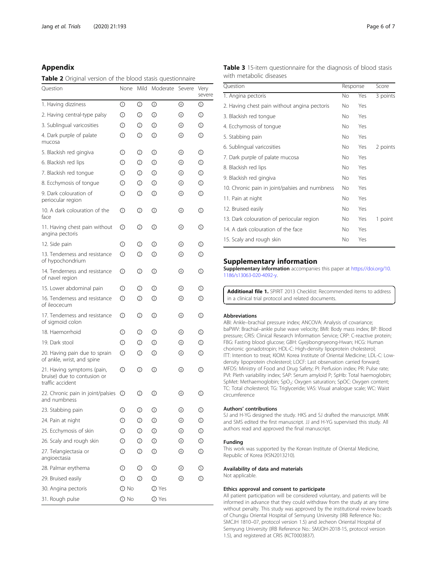# <span id="page-5-0"></span>Appendix

Table 2 Original version of the blood stasis questionnaire

| Question                                                                      | None         | Mild | Moderate    | Severe | Very<br>severe |
|-------------------------------------------------------------------------------|--------------|------|-------------|--------|----------------|
| 1. Having dizziness                                                           | ⊙            | ◎    | ⊚           | ④      | ⊙              |
| 2. Having central-type palsy                                                  | ⊙            | ◎    | ⊚           | ④      | ⊙              |
| 3. Sublingual varicosities                                                    | ⊙            | ◎    | ⊚           | ④      | ⊙              |
| 4. Dark purple of palate<br>mucosa                                            | ⊕            | ◎    | ⊚           | ④      | ⊙              |
| 5. Blackish red gingiva                                                       | ⊕            | ◎    | ☺           | ④      | ⊙              |
| 6. Blackish red lips                                                          | ⊕            | ◎    | ⊚           | ④      | $\circledcirc$ |
| 7. Blackish red tongue                                                        | ⊙            | ◎    | ⊚           | ④      | $\circledcirc$ |
| 8. Ecchymosis of tongue                                                       | ⊕            | ◎    | ⊚           | ④      | ⊙              |
| 9. Dark colouration of<br>periocular region                                   | ⊕            | ➁    | ⊚           | ④      | ⊙              |
| 10. A dark colouration of the<br>face                                         | ⊕            | ◎    | ⊚           | ④      | ⊙              |
| 11. Having chest pain without<br>angina pectoris                              | ⊕            | ◎    | ☺           | ④      | ⊙              |
| 12. Side pain                                                                 | ⊕            | ◎    | ⊚           | ④      | ⊙              |
| 13. Tenderness and resistance<br>of hypochondrium                             | ⊕            | ◎    | ⊚           | ④      | ⊙              |
| 14. Tenderness and resistance<br>of navel region                              | ⊕            | ◎    | ☺           | ④      | ⊙              |
| 15. Lower abdominal pain                                                      | ⊕            | ◎    | ⊚           | ④      | ⊙              |
| 16. Tenderness and resistance<br>of ileocecum                                 | ⊕            | ◎    | ⊚           | ④      | ⊙              |
| 17. Tenderness and resistance<br>of sigmoid colon                             | ⊕            | ◎    | ☺           | ④      | ⑤              |
| 18. Haemorrhoid                                                               | ⊕            | ◎    | ☺           | ④      | ⊙              |
| 19. Dark stool                                                                | ⊕            | ◎    | ⊚           | ④      | ⊙              |
| 20. Having pain due to sprain<br>of ankle, wrist, and spine                   | ⊕            | ◎    | ⊚           | ④      | ⊙              |
| 21. Having symptoms (pain,<br>bruise) due to contusion or<br>traffic accident | ⊕            | ◎    | ⊚           | ④      | ⊙              |
| 22. Chronic pain in joint/palsies<br>and numbness                             | $\circ$      | ◎    | ⊚           | ④      | ⊙              |
| 23. Stabbing pain                                                             | ⊙            | ②    | ⊚           | ④      | டு             |
| 24. Pain at night                                                             | $^\circledR$ | ◎    | ⊚           | ④      | O              |
| 25. Ecchymosis of skin                                                        | $\odot$      | ②    | ⊚           | ④      | $\circledS$    |
| 26. Scaly and rough skin                                                      | ⊙            | ◎    | ⊚           | ④      | ⊙              |
| 27. Telangiectasia or<br>angioectasia                                         | $^\circledR$ | ②    | ⊚           | ④      | ⑤              |
| 28. Palmar erythema                                                           | $^\circledR$ | ◎    | ⊚           | ④      | ⑤              |
| 29. Bruised easily                                                            | ⊙            | ◎    | ⊚           | ④      | O              |
| 30. Angina pectoris                                                           | $\odot$ No   |      | <b>⊘Yes</b> |        |                |
| 31. Rough pulse                                                               | $\odot$ No   |      | ⊘ Yes       |        |                |

| Table 3 15-item questionnaire for the diagnosis of blood stasis |  |  |  |
|-----------------------------------------------------------------|--|--|--|
| with metabolic diseases                                         |  |  |  |

| Question                                       | Response |     | Score    |
|------------------------------------------------|----------|-----|----------|
| 1. Angina pectoris                             | No       | Yes | 3 points |
| 2. Having chest pain without angina pectoris   | No       | Yes |          |
| 3. Blackish red tongue                         | No.      | Yes |          |
| 4. Ecchymosis of tongue                        | No.      | Yes |          |
| 5. Stabbing pain                               | No       | Yes |          |
| 6. Sublingual varicosities                     | No.      | Yes | 2 points |
| 7. Dark purple of palate mucosa                | No.      | Yes |          |
| 8. Blackish red lips                           | No.      | Yes |          |
| 9. Blackish red gingiva                        | No.      | Yes |          |
| 10. Chronic pain in joint/palsies and numbness | No.      | Yes |          |
| 11. Pain at night                              | No.      | Yes |          |
| 12. Bruised easily                             | No       | Yes |          |
| 13. Dark colouration of periocular region      | No       | Yes | 1 point  |
| 14. A dark colouration of the face             | No       | Yes |          |
| 15. Scaly and rough skin                       | No       | Yes |          |

# Supplementary information

Supplementary information accompanies this paper at [https://doi.org/10.](https://doi.org/10.1186/s13063-020-4092-y) [1186/s13063-020-4092-y](https://doi.org/10.1186/s13063-020-4092-y).

Additional file 1. SPIRIT 2013 Checklist: Recommended items to address in a clinical trial protocol and related documents.

# Abbreviations

ABI: Ankle–brachial pressure index; ANCOVA: Analysis of covariance; baPWV: Brachial–ankle pulse wave velocity; BMI: Body mass index; BP: Blood pressure; CRIS: Clinical Research Information Service; CRP: C-reactive protein; FBG: Fasting blood glucose; GBH: Gyejibongnyeong-Hwan; HCG: Human chorionic gonadotropin; HDL-C: High-density lipoprotein cholesterol; ITT: Intention to treat; KIOM: Korea Institute of Oriental Medicine; LDL-C: Lowdensity lipoprotein cholesterol; LOCF: Last observation carried forward; MFDS: Ministry of Food and Drug Safety; PI: Perfusion index; PR: Pulse rate; PVI: Pleth variability index; SAP: Serum amyloid P; SpHb: Total haemoglobin; SpMet: Methaemoglobin; SpO<sub>2</sub>: Oxygen saturation; SpOC: Oxygen content; TC: Total cholesterol; TG: Triglyceride; VAS: Visual analogue scale; WC: Waist circumference

# Authors' contributions

SJ and H-YG designed the study. HKS and SJ drafted the manuscript. MMK and SMS edited the first manuscript. JJ and H-YG supervised this study. All authors read and approved the final manuscript.

# Funding

This work was supported by the Korean Institute of Oriental Medicine, Republic of Korea (KSN2013210).

### Availability of data and materials

Not applicable.

# Ethics approval and consent to participate

All patient participation will be considered voluntary, and patients will be informed in advance that they could withdraw from the study at any time without penalty. This study was approved by the institutional review boards of Chungju Oriental Hospital of Semyung University (IRB Reference No.: SMCJH 1810–07, protocol version 1.5) and Jecheon Oriental Hospital of Semyung University (IRB Reference No.: SMJOH-2018-15, protocol version 1.5), and registered at CRIS (KCT0003837).